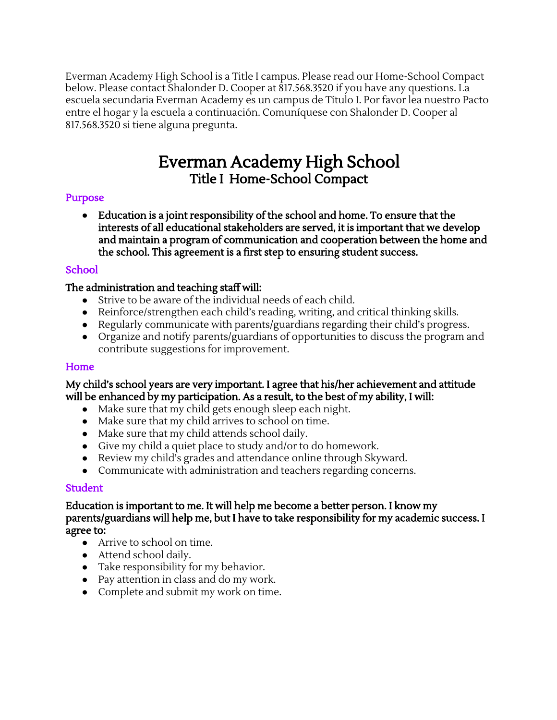Everman Academy High School is a Title I campus. Please read our Home-School Compact below. Please contact Shalonder D. Cooper at 817.568.3520 if you have any questions. La escuela secundaria Everman Academy es un campus de Título I. Por favor lea nuestro Pacto entre el hogar y la escuela a continuación. Comuníquese con Shalonder D. Cooper al 817.568.3520 si tiene alguna pregunta.

# Everman Academy High School Everman Academy High School Title I Home-School Compact Title I Home-School Compact

#### Purpose Purpose

Education is a joint responsibility of the school and home. To ensure that the **●** Education is a joint responsibility of the school and home. To ensure that the interests of all educational stakeholders are served. it is important that we develop interests of all educational stakeholders are served, it is important that we develop and maintain a program of communication and cooperation between the home and and maintain a program of communication and cooperation between the home and the school. This agreement is a first step to ensuring student success. the school. This agreement is a first step to ensuring student success.

## School School

#### The administration and teaching staff will: The administration and teaching staff will:

- Strive to be aware of the individual needs of each child.
- Reinforce/strengthen each child's reading, writing, and critical thinking skills.
- Regularly communicate with parents/guardians regarding their child's progress.
- Organize and notify parents/guardians of opportunities to discuss the program and contribute suggestions for improvement.

#### Home Home

My child's school years are very important I agree that his/her achievement and attitude My child's school years are very important. I agree that his/her achievement and attitude will be enhanced by my participation. *As* a result, to the best of my ability, I will: will be enhanced by my participation. As a result, to the best of my ability, I will:

- Make sure that my child gets enough sleep each night.
- Make sure that my child arrives to school on time.
- Make sure that my child attends school daily.
- Give my child a quiet place to study and/or to do homework.
- Review my child's grades and attendance online through Skyward.
- Communicate with administration and teachers regarding concerns.

#### Student Student

Education is important to me. It will help me become a better person. I know my Education is important to me. It will help me become a better person. I know my parents/guardians will help me, but I have to take responsibility for my academic success. I parents/guardians will help me, but I have to take responsibility for my academic success. I agree to: agree to:

- Arrive to school on time.
- Attend school daily.
- Take responsibility for my behavior.
- Pay attention in class and do my work.
- Complete and submit my work on time.